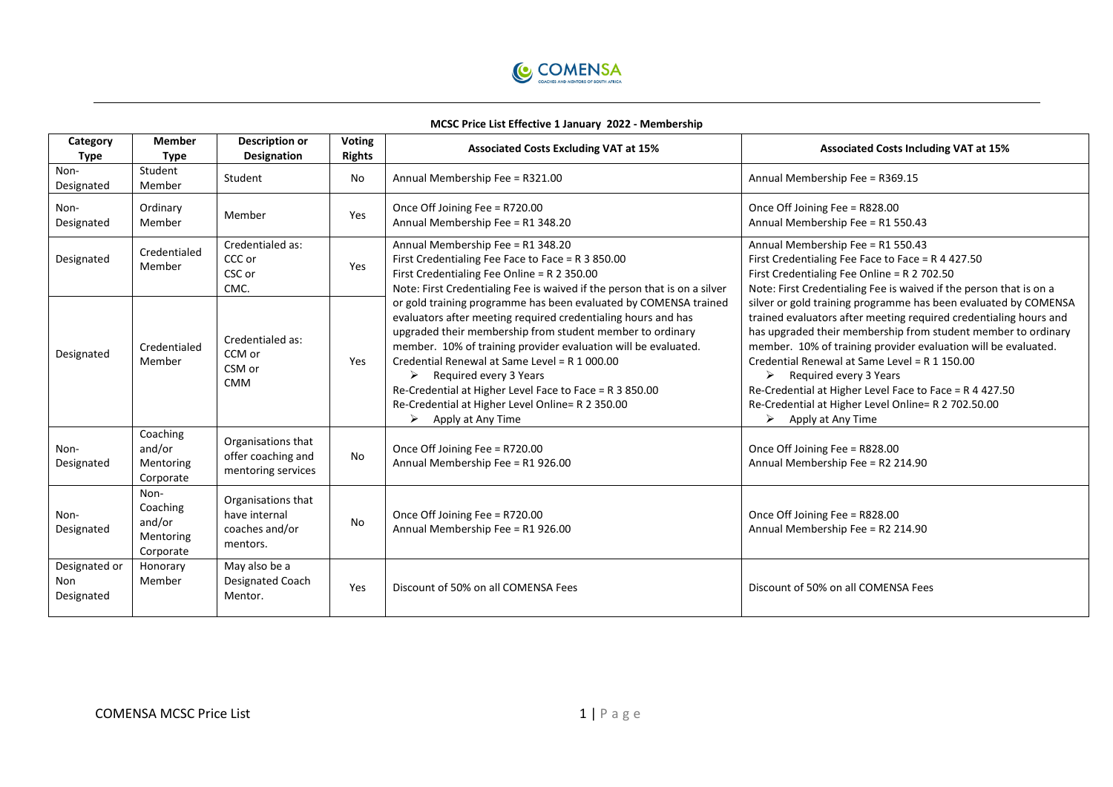

## **MCSC Price List Effective 1 January 2022 - Membership**

| Category<br>Type                   | <b>Member</b><br>Type                                | <b>Description or</b><br><b>Designation</b>                       | Voting<br><b>Rights</b> | <b>Associated Costs Excluding VAT at 15%</b>                                                                                                                                                                                                                                                                                                                                                                                                                                                                                                                                                                                                                                                               | <b>Associated Costs Including VAT at 15%</b>                                                                                                                                                                                                                                                                                                                                                                                                                                                                                                                                                                                                                                                                              |
|------------------------------------|------------------------------------------------------|-------------------------------------------------------------------|-------------------------|------------------------------------------------------------------------------------------------------------------------------------------------------------------------------------------------------------------------------------------------------------------------------------------------------------------------------------------------------------------------------------------------------------------------------------------------------------------------------------------------------------------------------------------------------------------------------------------------------------------------------------------------------------------------------------------------------------|---------------------------------------------------------------------------------------------------------------------------------------------------------------------------------------------------------------------------------------------------------------------------------------------------------------------------------------------------------------------------------------------------------------------------------------------------------------------------------------------------------------------------------------------------------------------------------------------------------------------------------------------------------------------------------------------------------------------------|
| Non-<br>Designated                 | Student<br>Member                                    | Student                                                           | No                      | Annual Membership Fee = R321.00                                                                                                                                                                                                                                                                                                                                                                                                                                                                                                                                                                                                                                                                            | Annual Membership Fee = R369.15                                                                                                                                                                                                                                                                                                                                                                                                                                                                                                                                                                                                                                                                                           |
| Non-<br>Designated                 | Ordinary<br>Member                                   | Member                                                            | Yes                     | Once Off Joining Fee = R720.00<br>Annual Membership Fee = R1 348.20                                                                                                                                                                                                                                                                                                                                                                                                                                                                                                                                                                                                                                        | Once Off Joining Fee = R828.00<br>Annual Membership Fee = R1 550.43                                                                                                                                                                                                                                                                                                                                                                                                                                                                                                                                                                                                                                                       |
| Designated                         | Credentialed<br>Member                               | Credentialed as:<br>CCC or<br>CSC or<br>CMC.                      | Yes                     | Annual Membership Fee = R1 348.20<br>First Credentialing Fee Face to Face = R 3 850.00<br>First Credentialing Fee Online = R 2 350.00<br>Note: First Credentialing Fee is waived if the person that is on a silver<br>or gold training programme has been evaluated by COMENSA trained<br>evaluators after meeting required credentialing hours and has<br>upgraded their membership from student member to ordinary<br>member. 10% of training provider evaluation will be evaluated.<br>Credential Renewal at Same Level = R 1 000.00<br>Required every 3 Years<br>➤<br>Re-Credential at Higher Level Face to Face = R 3 850.00<br>Re-Credential at Higher Level Online= R 2 350.00<br>Apply at Any Time | Annual Membership Fee = R1 550.43<br>First Credentialing Fee Face to Face = R 4 427.50<br>First Credentialing Fee Online = R 2 702.50<br>Note: First Credentialing Fee is waived if the person that is on a<br>silver or gold training programme has been evaluated by COMENSA<br>trained evaluators after meeting required credentialing hours and<br>has upgraded their membership from student member to ordinary<br>member. 10% of training provider evaluation will be evaluated.<br>Credential Renewal at Same Level = R 1 150.00<br>$\triangleright$ Required every 3 Years<br>Re-Credential at Higher Level Face to Face = R 4 427.50<br>Re-Credential at Higher Level Online= R 2 702.50.00<br>Apply at Any Time |
| Designated                         | Credentialed<br>Member                               | Credentialed as:<br>CCM or<br>CSM or<br><b>CMM</b>                | Yes                     |                                                                                                                                                                                                                                                                                                                                                                                                                                                                                                                                                                                                                                                                                                            |                                                                                                                                                                                                                                                                                                                                                                                                                                                                                                                                                                                                                                                                                                                           |
| Non-<br>Designated                 | Coaching<br>and/or<br>Mentoring<br>Corporate         | Organisations that<br>offer coaching and<br>mentoring services    | No                      | Once Off Joining Fee = R720.00<br>Annual Membership Fee = R1 926.00                                                                                                                                                                                                                                                                                                                                                                                                                                                                                                                                                                                                                                        | Once Off Joining Fee = R828.00<br>Annual Membership Fee = R2 214.90                                                                                                                                                                                                                                                                                                                                                                                                                                                                                                                                                                                                                                                       |
| Non-<br>Designated                 | Non-<br>Coaching<br>and/or<br>Mentoring<br>Corporate | Organisations that<br>have internal<br>coaches and/or<br>mentors. | No                      | Once Off Joining Fee = R720.00<br>Annual Membership Fee = R1 926.00                                                                                                                                                                                                                                                                                                                                                                                                                                                                                                                                                                                                                                        | Once Off Joining Fee = R828.00<br>Annual Membership Fee = R2 214.90                                                                                                                                                                                                                                                                                                                                                                                                                                                                                                                                                                                                                                                       |
| Designated or<br>Non<br>Designated | Honorary<br>Member                                   | May also be a<br>Designated Coach<br>Mentor.                      | Yes                     | Discount of 50% on all COMENSA Fees                                                                                                                                                                                                                                                                                                                                                                                                                                                                                                                                                                                                                                                                        | Discount of 50% on all COMENSA Fees                                                                                                                                                                                                                                                                                                                                                                                                                                                                                                                                                                                                                                                                                       |